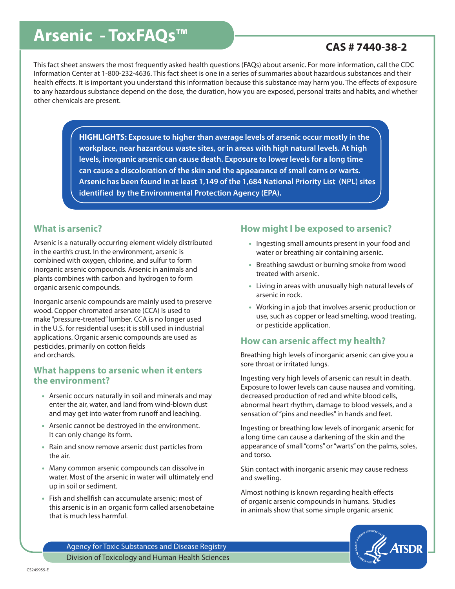# **Arsenic - ToxFAQs™ CAS # 7440-38-2**

This fact sheet answers the most frequently asked health questions (FAQs) about arsenic. For more information, call the CDC Information Center at 1-800-232-4636. This fact sheet is one in a series of summaries about hazardous substances and their health effects. It is important you understand this information because this substance may harm you. The effects of exposure to any hazardous substance depend on the dose, the duration, how you are exposed, personal traits and habits, and whether other chemicals are present.

> **HIGHLIGHTS: Exposure to higher than average levels of arsenic occur mostly in the workplace, near hazardous waste sites, or in areas with high natural levels. At high levels, inorganic arsenic can cause death. Exposure to lower levels for a long time can cause a discoloration of the skin and the appearance of small corns or warts. Arsenic has been found in at least 1,149 of the 1,684 National Priority List (NPL) sites identified by the Environmental Protection Agency (EPA).**

#### **What is arsenic?**

Arsenic is a naturally occurring element widely distributed in the earth's crust. In the environment, arsenic is combined with oxygen, chlorine, and sulfur to form inorganic arsenic compounds. Arsenic in animals and plants combines with carbon and hydrogen to form organic arsenic compounds.

Inorganic arsenic compounds are mainly used to preserve wood. Copper chromated arsenate (CCA) is used to make "pressure-treated" lumber. CCA is no longer used in the U.S. for residential uses; it is still used in industrial applications. Organic arsenic compounds are used as pesticides, primarily on cotton fields and orchards.

#### **What happens to arsenic when it enters the environment?**

- Arsenic occurs naturally in soil and minerals and may enter the air, water, and land from wind-blown dust and may get into water from runoff and leaching.
- Arsenic cannot be destroyed in the environment. It can only change its form.
- Rain and snow remove arsenic dust particles from the air.
- Many common arsenic compounds can dissolve in water. Most of the arsenic in water will ultimately end up in soil or sediment.
- Fish and shellfish can accumulate arsenic; most of this arsenic is in an organic form called arsenobetaine that is much less harmful.

### **How might I be exposed to arsenic?**

- Ingesting small amounts present in your food and water or breathing air containing arsenic.
- Breathing sawdust or burning smoke from wood treated with arsenic.
- Living in areas with unusually high natural levels of arsenic in rock.
- Working in a job that involves arsenic production or use, such as copper or lead smelting, wood treating, or pesticide application.

### **How can arsenic affect my health?**

Breathing high levels of inorganic arsenic can give you a sore throat or irritated lungs.

Ingesting very high levels of arsenic can result in death. Exposure to lower levels can cause nausea and vomiting, decreased production of red and white blood cells, abnormal heart rhythm, damage to blood vessels, and a sensation of "pins and needles" in hands and feet.

Ingesting or breathing low levels of inorganic arsenic for a long time can cause a darkening of the skin and the appearance of small "corns" or "warts" on the palms, soles, and torso.

Skin contact with inorganic arsenic may cause redness and swelling.

Almost nothing is known regarding health effects of organic arsenic compounds in humans. Studies in animals show that some simple organic arsenic



Agency for Toxic Substances and Disease Registry Division of Toxicology and Human Health Sciences